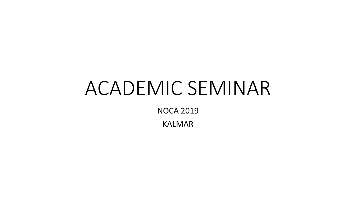# ACADEMIC SEMINAR

NOCA 2019

KALMAR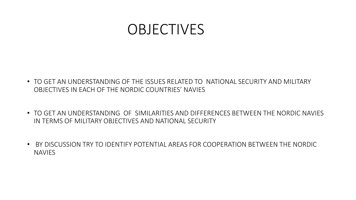### OBJECTIVES

- TO GET AN UNDERSTANDING OF THE ISSUES RELATED TO NATIONAL SECURITY AND MILITARY OBJECTIVES IN EACH OF THE NORDIC COUNTRIES' NAVIES
- TO GET AN UNDERSTANDING OF SIMILARITIES AND DIFFERENCES BETWEEN THE NORDIC NAVIES IN TERMS OF MILITARY OBJECTIVES AND NATIONAL SECURITY
- BY DISCUSSION TRY TO IDENTIFY POTENTIAL AREAS FOR COOPERATION BETWEEN THE NORDIC NAVIES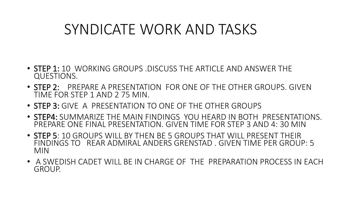## SYNDICATE WORK AND TASKS

- STEP 1: 10 WORKING GROUPS .DISCUSS THE ARTICLE AND ANSWER THE QUESTIONS.
- STEP 2: PREPARE A PRESENTATION FOR ONE OF THE OTHER GROUPS. GIVEN TIME FOR STEP 1 AND 2 75 MIN.
- STEP 3: GIVE A PRESENTATION TO ONE OF THE OTHER GROUPS
- STEP4: SUMMARIZE THE MAIN FINDINGS YOU HEARD IN BOTH PRESENTATIONS. PREPARE ONE FINAL PRESENTATION. GIVEN TIME FOR STEP 3 AND 4: 30 MIN
- STEP 5: 10 GROUPS WILL BY THEN BE 5 GROUPS THAT WILL PRESENT THEIR FINDINGS TO REAR ADMIRAL ANDERS GRENSTAD . GIVEN TIME PER GROUP: 5 MIN
- A SWEDISH CADET WILL BE IN CHARGE OF THE PREPARATION PROCESS IN EACH GROUP.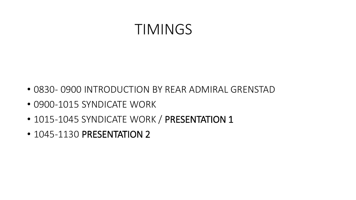#### TIMINGS

- 0830- 0900 INTRODUCTION BY REAR ADMIRAL GRENSTAD
- 0900-1015 SYNDICATE WORK
- 1015-1045 SYNDICATE WORK / PRESENTATION 1
- 1045-1130 PRESENTATION 2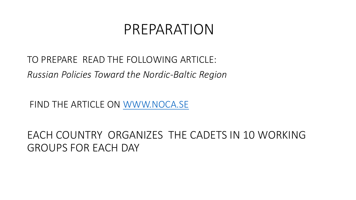#### PREPARATION

TO PREPARE READ THE FOLLOWING ARTICLE: *Russian Policies Toward the Nordic-Baltic Region* 

FIND THE ARTICLE ON [WWW.NOCA.SE](http://www.noca.se/)

EACH COUNTRY ORGANIZES THE CADETS IN 10 WORKING GROUPS FOR EACH DAY